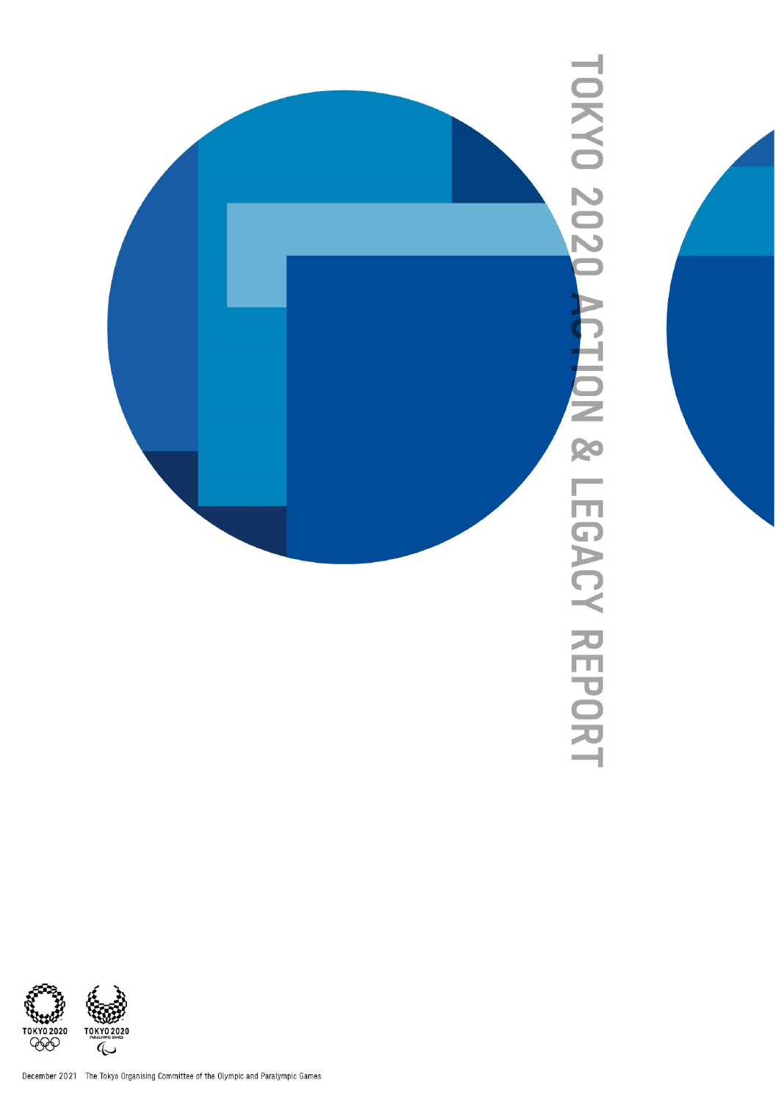

## **TOKYO 2020 ACTION & LEGACY REPORT**

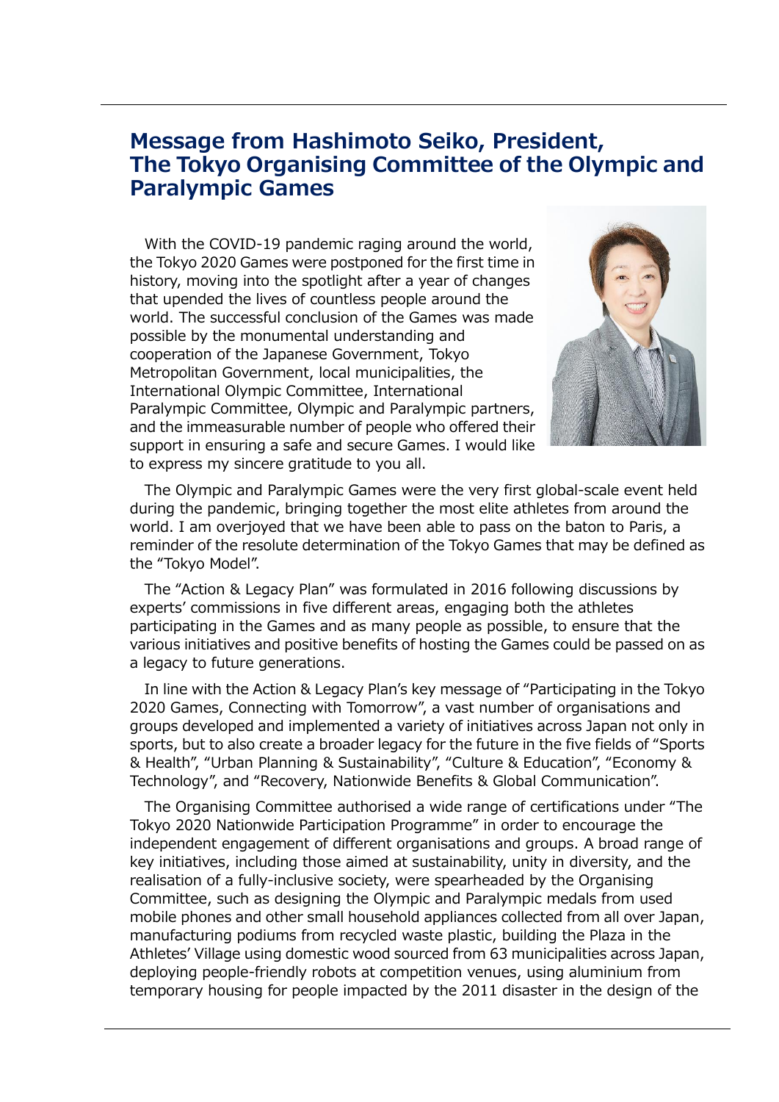## **Message from Hashimoto Seiko, President, The Tokyo Organising Committee of the Olympic and Paralympic Games**

With the COVID-19 pandemic raging around the world, the Tokyo 2020 Games were postponed for the first time in history, moving into the spotlight after a year of changes that upended the lives of countless people around the world. The successful conclusion of the Games was made possible by the monumental understanding and cooperation of the Japanese Government, Tokyo Metropolitan Government, local municipalities, the International Olympic Committee, International Paralympic Committee, Olympic and Paralympic partners, and the immeasurable number of people who offered their support in ensuring a safe and secure Games. I would like to express my sincere gratitude to you all.



The Olympic and Paralympic Games were the very first global-scale event held during the pandemic, bringing together the most elite athletes from around the world. I am overjoyed that we have been able to pass on the baton to Paris, a reminder of the resolute determination of the Tokyo Games that may be defined as the "Tokyo Model".

The "Action & Legacy Plan" was formulated in 2016 following discussions by experts' commissions in five different areas, engaging both the athletes participating in the Games and as many people as possible, to ensure that the various initiatives and positive benefits of hosting the Games could be passed on as a legacy to future generations.

In line with the Action & Legacy Plan's key message of "Participating in the Tokyo 2020 Games, Connecting with Tomorrow", a vast number of organisations and groups developed and implemented a variety of initiatives across Japan not only in sports, but to also create a broader legacy for the future in the five fields of "Sports & Health", "Urban Planning & Sustainability", "Culture & Education", "Economy & Technology", and "Recovery, Nationwide Benefits & Global Communication".

The Organising Committee authorised a wide range of certifications under "The Tokyo 2020 Nationwide Participation Programme" in order to encourage the independent engagement of different organisations and groups. A broad range of key initiatives, including those aimed at sustainability, unity in diversity, and the realisation of a fully-inclusive society, were spearheaded by the Organising Committee, such as designing the Olympic and Paralympic medals from used mobile phones and other small household appliances collected from all over Japan, manufacturing podiums from recycled waste plastic, building the Plaza in the Athletes' Village using domestic wood sourced from 63 municipalities across Japan, deploying people-friendly robots at competition venues, using aluminium from temporary housing for people impacted by the 2011 disaster in the design of the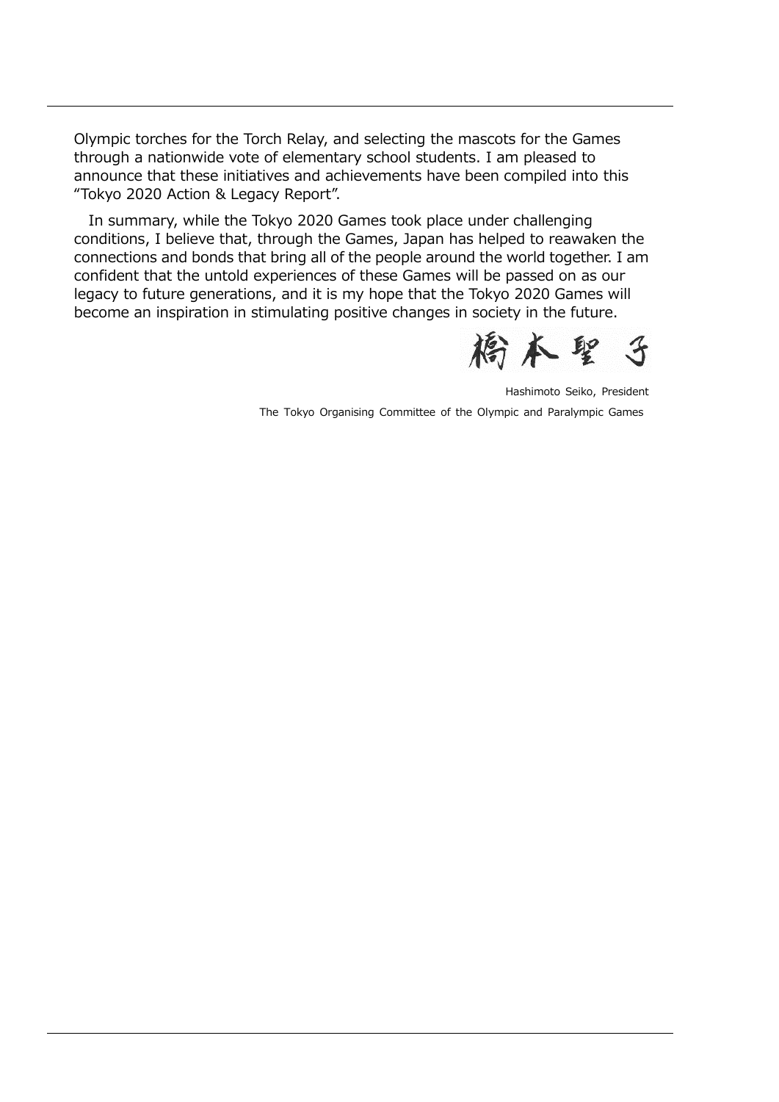Olympic torches for the Torch Relay, and selecting the mascots for the Games through a nationwide vote of elementary school students. I am pleased to announce that these initiatives and achievements have been compiled into this "Tokyo 2020 Action & Legacy Report".

In summary, while the Tokyo 2020 Games took place under challenging conditions, I believe that, through the Games, Japan has helped to reawaken the connections and bonds that bring all of the people around the world together. I am confident that the untold experiences of these Games will be passed on as our legacy to future generations, and it is my hope that the Tokyo 2020 Games will become an inspiration in stimulating positive changes in society in the future.



Hashimoto Seiko, President

The Tokyo Organising Committee of the Olympic and Paralympic Games